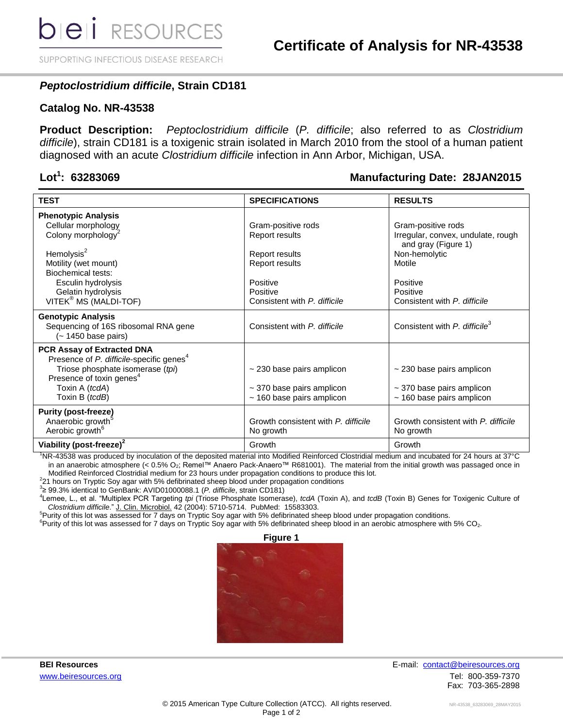SUPPORTING INFECTIOUS DISEASE RESEARCH

## *Peptoclostridium difficile***, Strain CD181**

#### **Catalog No. NR-43538**

**Product Description:** *Peptoclostridium difficile* (*P. difficile*; also referred to as *Clostridium difficile*), strain CD181 is a toxigenic strain isolated in March 2010 from the stool of a human patient diagnosed with an acute *Clostridium difficile* infection in Ann Arbor, Michigan, USA.

### Lot<sup>1</sup>: 63283069

### **: 63283069 Manufacturing Date: 28JAN2015**

|                                                                                          |                                     | <b>RESULTS</b>                                            |
|------------------------------------------------------------------------------------------|-------------------------------------|-----------------------------------------------------------|
| <b>TEST</b>                                                                              | <b>SPECIFICATIONS</b>               |                                                           |
| <b>Phenotypic Analysis</b>                                                               |                                     |                                                           |
| Cellular morphology                                                                      | Gram-positive rods                  | Gram-positive rods                                        |
| Colony morphology <sup>2</sup>                                                           | <b>Report results</b>               | Irregular, convex, undulate, rough<br>and gray (Figure 1) |
| Hemolysis <sup>2</sup>                                                                   | Report results                      | Non-hemolytic                                             |
| Motility (wet mount)                                                                     | Report results                      | Motile                                                    |
| <b>Biochemical tests:</b>                                                                |                                     |                                                           |
| Esculin hydrolysis                                                                       | Positive                            | Positive                                                  |
| Gelatin hydrolysis                                                                       | Positive                            | Positive                                                  |
| VITEK <sup>®</sup> MS (MALDI-TOF)                                                        | Consistent with P. difficile        | Consistent with P. difficile                              |
|                                                                                          |                                     |                                                           |
| <b>Genotypic Analysis</b><br>Sequencing of 16S ribosomal RNA gene<br>(~ 1450 base pairs) | Consistent with P. difficile        | Consistent with P. difficile <sup>3</sup>                 |
| <b>PCR Assay of Extracted DNA</b>                                                        |                                     |                                                           |
| Presence of P. difficile-specific genes <sup>4</sup>                                     |                                     |                                                           |
| Triose phosphate isomerase (tpi)                                                         | $\sim$ 230 base pairs amplicon      | $\sim$ 230 base pairs amplicon                            |
| Presence of toxin genes <sup>4</sup>                                                     |                                     |                                                           |
| Toxin A (tcdA)                                                                           | $\sim$ 370 base pairs amplicon      | $\sim$ 370 base pairs amplicon                            |
| Toxin B (tcdB)                                                                           | $~160$ base pairs amplicon          | $~160$ base pairs amplicon                                |
| <b>Purity (post-freeze)</b>                                                              |                                     |                                                           |
| Anaerobic growth <sup>5</sup>                                                            | Growth consistent with P. difficile | Growth consistent with P. difficile                       |
| Aerobic growth <sup>6</sup>                                                              | No growth                           | No growth                                                 |
|                                                                                          |                                     |                                                           |
| Viability (post-freeze) <sup>2</sup>                                                     | Growth                              | Growth                                                    |

<sup>1</sup>NR-43538 was produced by inoculation of the deposited material into Modified Reinforced Clostridial medium and incubated for 24 hours at 37°C in an anaerobic atmosphere (< 0.5% O2; Remel™ Anaero Pack-Anaero™ R681001). The material from the initial growth was passaged once in Modified Reinforced Clostridial medium for 23 hours under propagation conditions to produce this lot.

 $2$ 21 hours on Tryptic Soy agar with 5% defibrinated sheep blood under propagation conditions

3 ≥ 99.3% identical to GenBank: AVID01000088.1 (*P. difficile*, strain CD181)

4 Lemee, L., et al. "Multiplex PCR Targeting *tpi* (Triose Phosphate Isomerase), *tcdA* (Toxin A), and *tcdB* (Toxin B) Genes for Toxigenic Culture of *Clostridium difficile*." J. Clin. Microbiol. 42 (2004): 5710-5714. PubMed: 15583303.

<sup>5</sup>Purity of this lot was assessed for 7 days on Tryptic Soy agar with 5% defibrinated sheep blood under propagation conditions.

 ${}^{6}$ Purity of this lot was assessed for 7 days on Tryptic Soy agar with 5% defibrinated sheep blood in an aerobic atmosphere with 5% CO<sub>2</sub>.



**BEI Resources** E-mail: contact@beiresources.org [www.beiresources.org](http://www.beiresources.org/) **William Struck and Tel: 800-359-7370** Fax: 703-365-2898